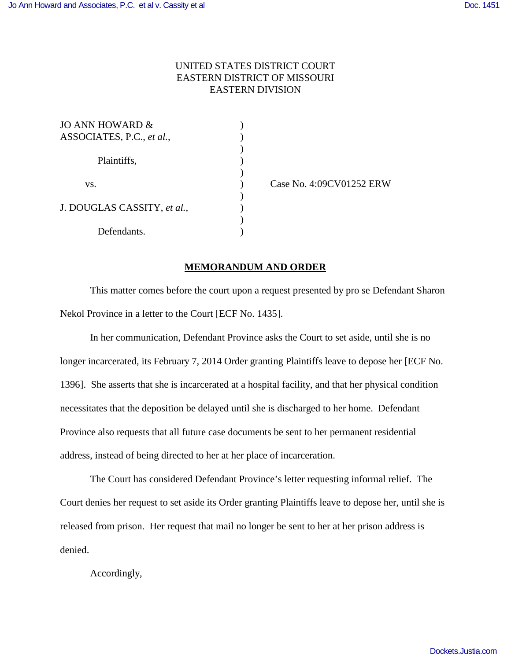## UNITED STATES DISTRICT COURT EASTERN DISTRICT OF MISSOURI EASTERN DIVISION

)

)

 $\mathcal{L}$ 

 $\mathcal{L}$ 

| JO ANN HOWARD &             |  |
|-----------------------------|--|
| ASSOCIATES, P.C., et al.,   |  |
|                             |  |
| Plaintiffs,                 |  |
|                             |  |
| VS.                         |  |
|                             |  |
| J. DOUGLAS CASSITY, et al., |  |
|                             |  |
| Defendants.                 |  |

) Case No. 4:09CV01252 ERW

## **MEMORANDUM AND ORDER**

This matter comes before the court upon a request presented by pro se Defendant Sharon Nekol Province in a letter to the Court [ECF No. 1435].

In her communication, Defendant Province asks the Court to set aside, until she is no longer incarcerated, its February 7, 2014 Order granting Plaintiffs leave to depose her [ECF No. 1396]. She asserts that she is incarcerated at a hospital facility, and that her physical condition necessitates that the deposition be delayed until she is discharged to her home. Defendant Province also requests that all future case documents be sent to her permanent residential address, instead of being directed to her at her place of incarceration.

The Court has considered Defendant Province's letter requesting informal relief. The Court denies her request to set aside its Order granting Plaintiffs leave to depose her, until she is released from prison. Her request that mail no longer be sent to her at her prison address is denied.

Accordingly,